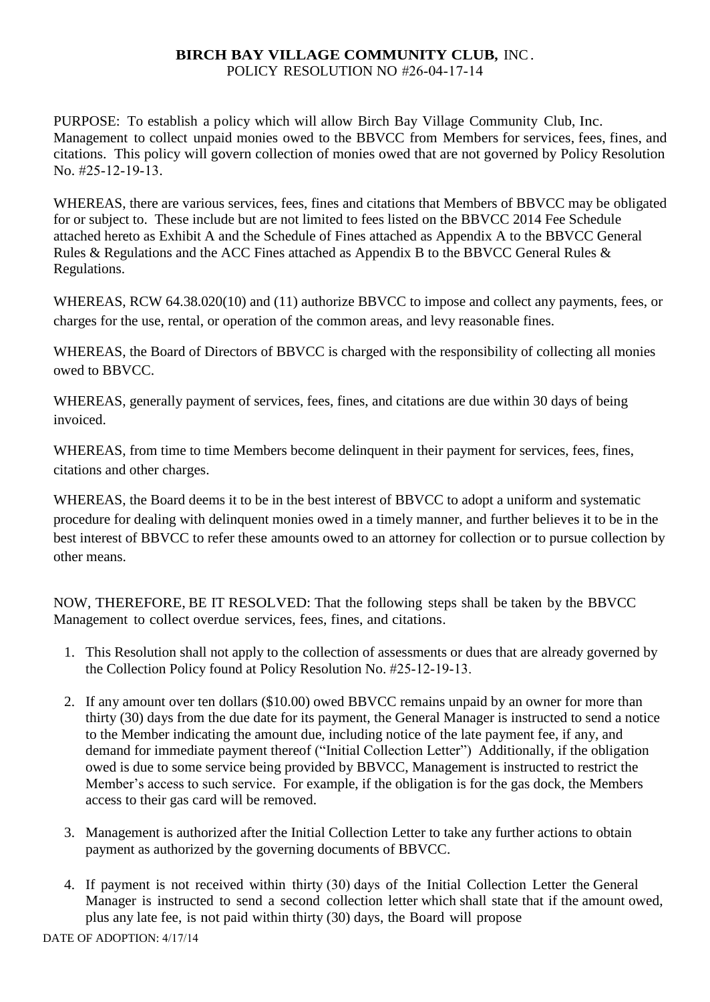## **BIRCH BAY VILLAGE COMMUNITY CLUB,** INC. POLICY RESOLUTION NO #26-04-17-14

PURPOSE: To establish a policy which will allow Birch Bay Village Community Club, Inc. Management to collect unpaid monies owed to the BBVCC from Members for services, fees, fines, and citations. This policy will govern collection of monies owed that are not governed by Policy Resolution No. #25-12-19-13.

WHEREAS, there are various services, fees, fines and citations that Members of BBVCC may be obligated for or subject to. These include but are not limited to fees listed on the BBVCC 2014 Fee Schedule attached hereto as Exhibit A and the Schedule of Fines attached as Appendix A to the BBVCC General Rules & Regulations and the ACC Fines attached as Appendix B to the BBVCC General Rules & Regulations.

WHEREAS, RCW 64.38.020(10) and (11) authorize BBVCC to impose and collect any payments, fees, or charges for the use, rental, or operation of the common areas, and levy reasonable fines.

WHEREAS, the Board of Directors of BBVCC is charged with the responsibility of collecting all monies owed to BBVCC.

WHEREAS, generally payment of services, fees, fines, and citations are due within 30 days of being invoiced.

WHEREAS, from time to time Members become delinquent in their payment for services, fees, fines, citations and other charges.

WHEREAS, the Board deems it to be in the best interest of BBVCC to adopt a uniform and systematic procedure for dealing with delinquent monies owed in a timely manner, and further believes it to be in the best interest of BBVCC to refer these amounts owed to an attorney for collection or to pursue collection by other means.

NOW, THEREFORE, BE IT RESOLVED: That the following steps shall be taken by the BBVCC Management to collect overdue services, fees, fines, and citations.

- 1. This Resolution shall not apply to the collection of assessments or dues that are already governed by the Collection Policy found at Policy Resolution No. #25-12-19-13.
- 2. If any amount over ten dollars (\$10.00) owed BBVCC remains unpaid by an owner for more than thirty (30) days from the due date for its payment, the General Manager is instructed to send a notice to the Member indicating the amount due, including notice of the late payment fee, if any, and demand for immediate payment thereof ("Initial Collection Letter") Additionally, if the obligation owed is due to some service being provided by BBVCC, Management is instructed to restrict the Member's access to such service. For example, if the obligation is for the gas dock, the Members access to their gas card will be removed.
- 3. Management is authorized after the Initial Collection Letter to take any further actions to obtain payment as authorized by the governing documents of BBVCC.
- 4. If payment is not received within thirty (30) days of the Initial Collection Letter the General Manager is instructed to send a second collection letter which shall state that if the amount owed, plus any late fee, is not paid within thirty (30) days, the Board will propose

DATE OF ADOPTION: 4/17/14